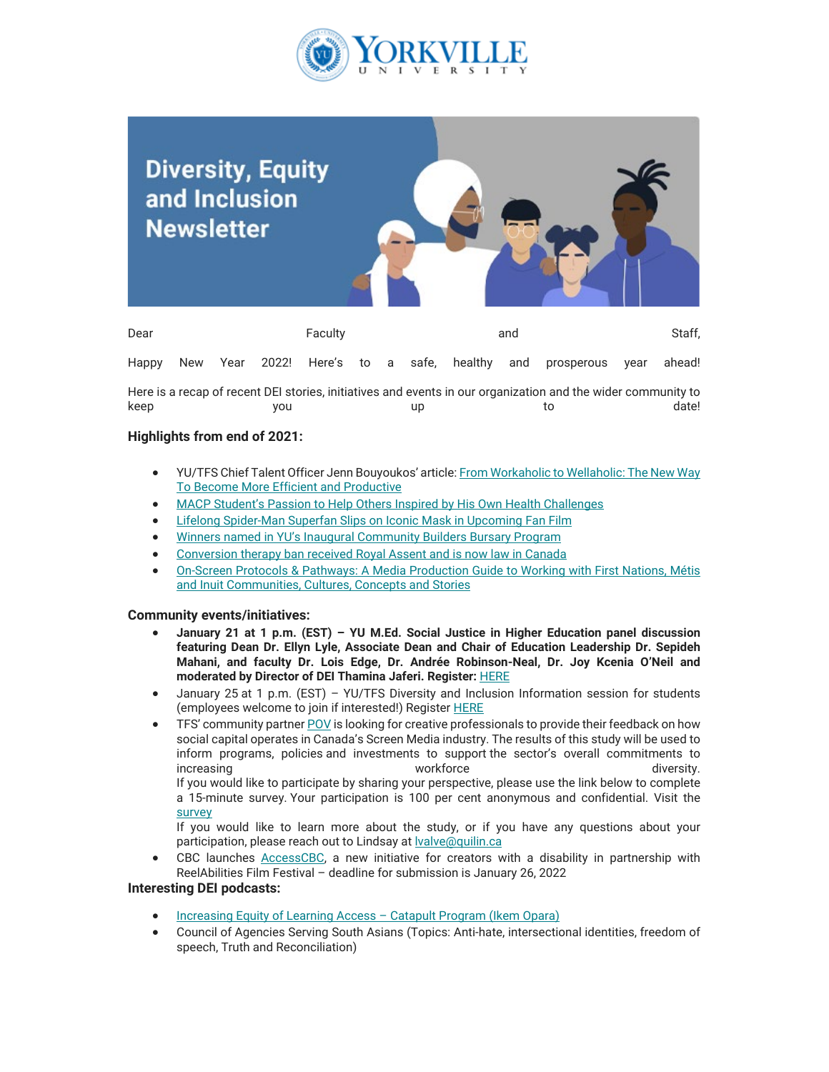

## **Diversity, Equity** and Inclusion **Newsletter** Dear Faculty and Staff, Happy New Year 2022! Here's to a safe, healthy and prosperous year ahead!

Here is a recap of recent DEI stories, initiatives and events in our organization and the wider community to keep you up to date!

## **Highlights from end of 2021:**

- YU/TFS Chief Talent Officer Jenn Bouyoukos' article[: From Workaholic to Wellaholic: The New Way](https://can01.safelinks.protection.outlook.com/?url=https%3A%2F%2Fwww.forbes.com%2Fsites%2Fforbeshumanresourcescouncil%2F2021%2F10%2F26%2Ffrom-workaholic-to-wellaholic-the-new-way-to-become-more-efficient-and-productive%2F%3Fsh%3D5d0f15cf568e&data=05%7C01%7Cmfraser%40yorkvilleu.ca%7C0efafd90a30842c3361108da4d5fea02%7C8e5c33be6efe45efb1956787de8fd649%7C0%7C0%7C637907371577704770%7CUnknown%7CTWFpbGZsb3d8eyJWIjoiMC4wLjAwMDAiLCJQIjoiV2luMzIiLCJBTiI6Ik1haWwiLCJXVCI6Mn0%3D%7C3000%7C%7C%7C&sdata=eu%2Bp0LLEKd0slle77jURH9AI5aNQxnIN8MvYaOqAFzE%3D&reserved=0) [To Become More Efficient and Productive](https://can01.safelinks.protection.outlook.com/?url=https%3A%2F%2Fwww.forbes.com%2Fsites%2Fforbeshumanresourcescouncil%2F2021%2F10%2F26%2Ffrom-workaholic-to-wellaholic-the-new-way-to-become-more-efficient-and-productive%2F%3Fsh%3D5d0f15cf568e&data=05%7C01%7Cmfraser%40yorkvilleu.ca%7C0efafd90a30842c3361108da4d5fea02%7C8e5c33be6efe45efb1956787de8fd649%7C0%7C0%7C637907371577704770%7CUnknown%7CTWFpbGZsb3d8eyJWIjoiMC4wLjAwMDAiLCJQIjoiV2luMzIiLCJBTiI6Ik1haWwiLCJXVCI6Mn0%3D%7C3000%7C%7C%7C&sdata=eu%2Bp0LLEKd0slle77jURH9AI5aNQxnIN8MvYaOqAFzE%3D&reserved=0)
- [MACP Student's Passion to Help Others Inspired by His Own Health Challenges](https://can01.safelinks.protection.outlook.com/?url=https%3A%2F%2Fwww.yorkvilleu.ca%2Fmacp-students-passion-to-help-others-inspired-by-his-own-health-challenges%2F&data=05%7C01%7Cmfraser%40yorkvilleu.ca%7C0efafd90a30842c3361108da4d5fea02%7C8e5c33be6efe45efb1956787de8fd649%7C0%7C0%7C637907371577704770%7CUnknown%7CTWFpbGZsb3d8eyJWIjoiMC4wLjAwMDAiLCJQIjoiV2luMzIiLCJBTiI6Ik1haWwiLCJXVCI6Mn0%3D%7C3000%7C%7C%7C&sdata=KlQEoeQUXDb2V9D0YyOKN5Wjv1omfix5F7Rxe%2FQV%2B3E%3D&reserved=0)
- **[Lifelong Spider-Man Superfan Slips on Iconic Mask in Upcoming Fan Film](https://can01.safelinks.protection.outlook.com/?url=https%3A%2F%2Fwww.torontofilmschool.ca%2Fblog%2Flifelong-spider-man-superfan-slips-on-iconic-mask-in-upcoming-fan-film%2F&data=05%7C01%7Cmfraser%40yorkvilleu.ca%7C0efafd90a30842c3361108da4d5fea02%7C8e5c33be6efe45efb1956787de8fd649%7C0%7C0%7C637907371577704770%7CUnknown%7CTWFpbGZsb3d8eyJWIjoiMC4wLjAwMDAiLCJQIjoiV2luMzIiLCJBTiI6Ik1haWwiLCJXVCI6Mn0%3D%7C3000%7C%7C%7C&sdata=RdP0PBNsnwq2mPOEu56HLdREgMG3CrMnPJWUyeTb12s%3D&reserved=0)**
- [Winners named in YU's Inaugural Community Builders Bursary Program](https://can01.safelinks.protection.outlook.com/?url=https%3A%2F%2Fwww.yorkvilleu.ca%2Fwinners-named-in-yus-inaugural-community-builders-bursary-program%2F&data=05%7C01%7Cmfraser%40yorkvilleu.ca%7C0efafd90a30842c3361108da4d5fea02%7C8e5c33be6efe45efb1956787de8fd649%7C0%7C0%7C637907371577704770%7CUnknown%7CTWFpbGZsb3d8eyJWIjoiMC4wLjAwMDAiLCJQIjoiV2luMzIiLCJBTiI6Ik1haWwiLCJXVCI6Mn0%3D%7C3000%7C%7C%7C&sdata=CpEDomaWsoJGBxb9tLnZfw1K0YrSUvy%2BoOrN78Z1feQ%3D&reserved=0)
- [Conversion therapy ban received Royal Assent and is now law in Canada](https://can01.safelinks.protection.outlook.com/?url=https%3A%2F%2Fglobalnews.ca%2Fnews%2F8434497%2Fconversion-therapy-ban-canada-royal-assent%2F&data=05%7C01%7Cmfraser%40yorkvilleu.ca%7C0efafd90a30842c3361108da4d5fea02%7C8e5c33be6efe45efb1956787de8fd649%7C0%7C0%7C637907371577704770%7CUnknown%7CTWFpbGZsb3d8eyJWIjoiMC4wLjAwMDAiLCJQIjoiV2luMzIiLCJBTiI6Ik1haWwiLCJXVCI6Mn0%3D%7C3000%7C%7C%7C&sdata=PtQkorotwICCINjz%2FtyE4v4c0segqcvkficQiP%2BD65M%3D&reserved=0)
- [On-Screen Protocols & Pathways: A Media Production Guide to Working with First Nations, Métis](https://can01.safelinks.protection.outlook.com/?url=https%3A%2F%2Fdrive.google.com%2Ffile%2Fd%2F1Pda2O918udFqVFK31scXm9HXPfmKlu2p%2Fview&data=05%7C01%7Cmfraser%40yorkvilleu.ca%7C0efafd90a30842c3361108da4d5fea02%7C8e5c33be6efe45efb1956787de8fd649%7C0%7C0%7C637907371577704770%7CUnknown%7CTWFpbGZsb3d8eyJWIjoiMC4wLjAwMDAiLCJQIjoiV2luMzIiLCJBTiI6Ik1haWwiLCJXVCI6Mn0%3D%7C3000%7C%7C%7C&sdata=lfKff9WQB253Q9hHGaESmvIr0PDRFRooiG3gGJcsmLw%3D&reserved=0) [and Inuit Communities, Cultures, Concepts and Stories](https://can01.safelinks.protection.outlook.com/?url=https%3A%2F%2Fdrive.google.com%2Ffile%2Fd%2F1Pda2O918udFqVFK31scXm9HXPfmKlu2p%2Fview&data=05%7C01%7Cmfraser%40yorkvilleu.ca%7C0efafd90a30842c3361108da4d5fea02%7C8e5c33be6efe45efb1956787de8fd649%7C0%7C0%7C637907371577704770%7CUnknown%7CTWFpbGZsb3d8eyJWIjoiMC4wLjAwMDAiLCJQIjoiV2luMzIiLCJBTiI6Ik1haWwiLCJXVCI6Mn0%3D%7C3000%7C%7C%7C&sdata=lfKff9WQB253Q9hHGaESmvIr0PDRFRooiG3gGJcsmLw%3D&reserved=0)

## **Community events/initiatives:**

- **January 21 at 1 p.m. (EST) YU M.Ed. Social Justice in Higher Education panel discussion featuring Dean Dr. Ellyn Lyle, Associate Dean and Chair of Education Leadership Dr. Sepideh Mahani, and faculty Dr. Lois Edge, Dr. Andrée Robinson-Neal, Dr. Joy Kcenia O'Neil and moderated by Director of DEI Thamina Jaferi. Register:** [HERE](https://can01.safelinks.protection.outlook.com/?url=https%3A%2F%2Fyorkvilleu-tfs.zoom.us%2Fmeeting%2Fregister%2FtJYkceyuqjIiHdNnB3fYmU6S3tkboybUwfJG&data=05%7C01%7Cmfraser%40yorkvilleu.ca%7C0efafd90a30842c3361108da4d5fea02%7C8e5c33be6efe45efb1956787de8fd649%7C0%7C0%7C637907371577704770%7CUnknown%7CTWFpbGZsb3d8eyJWIjoiMC4wLjAwMDAiLCJQIjoiV2luMzIiLCJBTiI6Ik1haWwiLCJXVCI6Mn0%3D%7C3000%7C%7C%7C&sdata=9nAHruIJa1Bj2rLLegoPaN0rZ%2B0eBrucwwultkwlbWY%3D&reserved=0)
- January 25 at 1 p.m. (EST) YU/TFS Diversity and Inclusion Information session for students (employees welcome to join if interested!) Register **HERE**
- TFS' community partne[r POV](https://can01.safelinks.protection.outlook.com/?url=https%3A%2F%2Fpovfilm.org%2F&data=05%7C01%7Cmfraser%40yorkvilleu.ca%7C0efafd90a30842c3361108da4d5fea02%7C8e5c33be6efe45efb1956787de8fd649%7C0%7C0%7C637907371577704770%7CUnknown%7CTWFpbGZsb3d8eyJWIjoiMC4wLjAwMDAiLCJQIjoiV2luMzIiLCJBTiI6Ik1haWwiLCJXVCI6Mn0%3D%7C3000%7C%7C%7C&sdata=YHXCdG%2Bdz4Bg%2FZ7tsP2iPPEpsc5plgsZ2%2FpgXfjSbqc%3D&reserved=0) is looking for creative professionals to provide their feedback on how social capital operates in Canada's Screen Media industry. The results of this study will be used to inform programs, policies and investments to support the sector's overall commitments to increasing workforce diversity. If you would like to participate by sharing your perspective, please use the link below to complete a 15-minute survey. Your participation is 100 per cent anonymous and confidential. Visit the [survey](https://can01.safelinks.protection.outlook.com/?url=https%3A%2F%2Fwww.research.net%2Fr%2FScreenMedia-SocialCapital&data=05%7C01%7Cmfraser%40yorkvilleu.ca%7C0efafd90a30842c3361108da4d5fea02%7C8e5c33be6efe45efb1956787de8fd649%7C0%7C0%7C637907371577704770%7CUnknown%7CTWFpbGZsb3d8eyJWIjoiMC4wLjAwMDAiLCJQIjoiV2luMzIiLCJBTiI6Ik1haWwiLCJXVCI6Mn0%3D%7C3000%7C%7C%7C&sdata=zz1Gd5myBAPDXyjEmtaL1uRtTtySNTNadhEiOuA2yyM%3D&reserved=0)

If you would like to learn more about the study, or if you have any questions about your participation, please reach out to Lindsay at **valve@quilin.ca** 

• CBC launches [AccessCBC,](https://can01.safelinks.protection.outlook.com/?url=https%3A%2F%2Freelabilities.org%2Ftoronto%2F&data=05%7C01%7Cmfraser%40yorkvilleu.ca%7C0efafd90a30842c3361108da4d5fea02%7C8e5c33be6efe45efb1956787de8fd649%7C0%7C0%7C637907371577704770%7CUnknown%7CTWFpbGZsb3d8eyJWIjoiMC4wLjAwMDAiLCJQIjoiV2luMzIiLCJBTiI6Ik1haWwiLCJXVCI6Mn0%3D%7C3000%7C%7C%7C&sdata=HHUni4ETbtZq8UcKS6ixwXt1Vy81QB8A87kmkYQ4KCY%3D&reserved=0) a new initiative for creators with a disability in partnership with ReelAbilities Film Festival – deadline for submission is January 26, 2022

## **Interesting DEI podcasts:**

- [Increasing Equity of Learning Access Catapult Program \(Ikem Opara\)](https://can01.safelinks.protection.outlook.com/?url=https%3A%2F%2Fwww.theartandscienceoflearning.com%2Fe62-nov-present%2F66-increasing-equity-of-learning-access-catapult-program-ikem-opara&data=05%7C01%7Cmfraser%40yorkvilleu.ca%7C0efafd90a30842c3361108da4d5fea02%7C8e5c33be6efe45efb1956787de8fd649%7C0%7C0%7C637907371577704770%7CUnknown%7CTWFpbGZsb3d8eyJWIjoiMC4wLjAwMDAiLCJQIjoiV2luMzIiLCJBTiI6Ik1haWwiLCJXVCI6Mn0%3D%7C3000%7C%7C%7C&sdata=URlCNl2UQKB0HA0RpkCLTZYbcxJK%2F0dft9g2V1LeBxc%3D&reserved=0)
- Council of Agencies Serving South Asians (Topics: Anti-hate, intersectional identities, freedom of speech, Truth and Reconciliation)